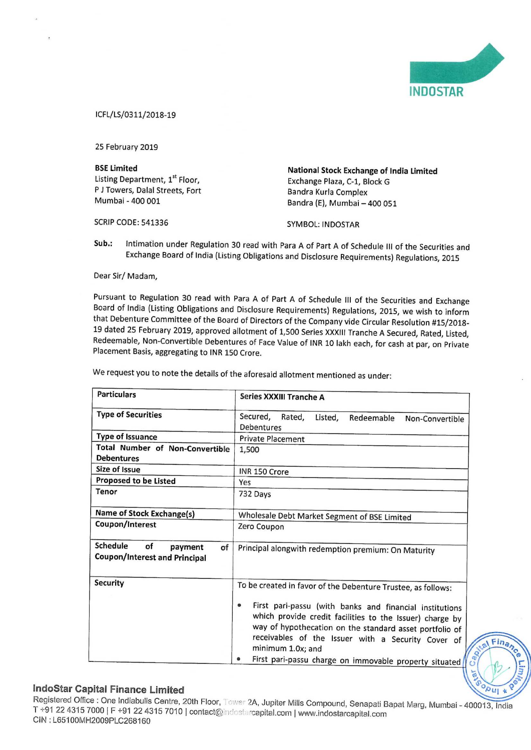

lCFL/LS/03 11/2018-19

25 February 2019

Listing Department, 1<sup>"</sup> Floor,<br>
P J Towers, Dalal Streets, Fort Fig. Bandra Kurla Complex Mumbai - 400 001

SCRIP CODE: 541336 SYMBOL: INDOSTAR

BSE Limited<br>
Listing Department, 1<sup>st</sup> Floor,<br>
Exchange Plaza, C-1, Block G Bandra Kurla Complex Bandra (E), Mumbai - 400 051

Sub.: intimation under Regulation <sup>30</sup> read with Para <sup>A</sup> of Part <sup>A</sup> of Schedule III of the Securities and Exchange Board of India (Listing Obligations and Disclosure Requirements) Regulations, <sup>2015</sup>

Dear Sir/ Madam,

Pursuant to Regulation <sup>30</sup> read with Para <sup>A</sup> of Part <sup>A</sup> of Schedule III of the Securities and Exchange Board of India (Listing Obligations and Disclosure Requirements) Regulations, 2015, we wish to inform that Debenture Committee of the Board of Directors of the Company vide Circular Resolution #15/2018- <sup>19</sup> dated <sup>25</sup> February 2019, approved allotment of 1,500 Series XXXlll Tranche <sup>A</sup> Secured, Rated, Listed, Redeemable, Non-Convertible Debentures of Face Value of INR <sup>10</sup> lakh each, for cash at par, on Private Placement Basis, aggregating to INR 150 Crore.

| <b>Particulars</b>                                                      | Series XXXIII Tranche A                                                                                                                                                                                                                                                                                                                                                                  |
|-------------------------------------------------------------------------|------------------------------------------------------------------------------------------------------------------------------------------------------------------------------------------------------------------------------------------------------------------------------------------------------------------------------------------------------------------------------------------|
| <b>Type of Securities</b>                                               | Secured.<br>Rated,<br>Listed,<br>Redeemable<br>Non-Convertible<br>Debentures                                                                                                                                                                                                                                                                                                             |
| <b>Type of Issuance</b>                                                 | Private Placement                                                                                                                                                                                                                                                                                                                                                                        |
| Total Number of Non-Convertible<br><b>Debentures</b>                    | 1,500                                                                                                                                                                                                                                                                                                                                                                                    |
| <b>Size of Issue</b>                                                    | INR 150 Crore                                                                                                                                                                                                                                                                                                                                                                            |
| <b>Proposed to be Listed</b>                                            | Yes                                                                                                                                                                                                                                                                                                                                                                                      |
| Tenor                                                                   | 732 Days                                                                                                                                                                                                                                                                                                                                                                                 |
| Name of Stock Exchange(s)                                               | Wholesale Debt Market Segment of BSE Limited                                                                                                                                                                                                                                                                                                                                             |
| Coupon/Interest                                                         | Zero Coupon                                                                                                                                                                                                                                                                                                                                                                              |
| Schedule<br>of<br>payment<br>of<br><b>Coupon/Interest and Principal</b> | Principal alongwith redemption premium: On Maturity                                                                                                                                                                                                                                                                                                                                      |
| <b>Security</b>                                                         | To be created in favor of the Debenture Trustee, as follows:<br>First pari-passu (with banks and financial institutions<br>۰<br>which provide credit facilities to the Issuer) charge by<br>way of hypothecation on the standard asset portfolio of<br>receivables of the Issuer with a Security Cover of<br>minimum 1.0x; and<br>First pari-passu charge on immovable property situated |

We request you to note the details of the aforesaid allotment mentioned as under:

## lndoStar Capital Finance Limited

Registered Office : One Indiabulls Centre, 20th Floor, Tower 2A, Jupiter Mills Compound, Senapati Bapat Marg, Mumbai - 400013, India T +91 22 4315 7000 [ F +91 22 4315 7010 | contact@indostarcapital.com | www.indostarcapital.com<br>CIN : L65100MH2009PLC268160